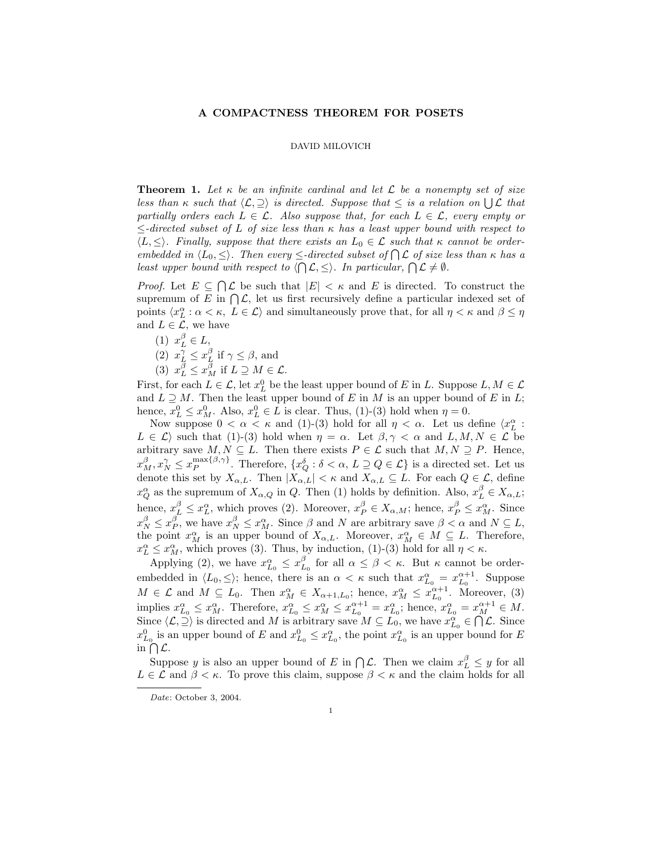## A COMPACTNESS THEOREM FOR POSETS

## DAVID MILOVICH

**Theorem 1.** Let  $\kappa$  be an infinite cardinal and let  $\mathcal{L}$  be a nonempty set of size less than  $\kappa$  such that  $\langle \mathcal{L}, \supseteq \rangle$  is directed. Suppose that  $\leq$  is a relation on  $\bigcup \mathcal{L}$  that partially orders each  $L \in \mathcal{L}$ . Also suppose that, for each  $L \in \mathcal{L}$ , every empty or  $\le$ -directed subset of L of size less than  $\kappa$  has a least upper bound with respect to  $\langle L, \leq \rangle$ . Finally, suppose that there exists an  $L_0 \in \mathcal{L}$  such that  $\kappa$  cannot be orderembedded in  $\langle L_0, \leq \rangle$ . Then every  $\leq$ -directed subset of  $\bigcap \mathcal{L}$  of size less than  $\kappa$  has a least upper bound with respect to  $\langle \bigcap \mathcal{L}, \leq \rangle$ . In particular,  $\bigcap \mathcal{L} \neq \emptyset$ .

*Proof.* Let  $E \subseteq \bigcap \mathcal{L}$  be such that  $|E| < \kappa$  and E is directed. To construct the supremum of E in  $\bigcap \mathcal{L}$ , let us first recursively define a particular indexed set of points  $\langle x_L^\alpha : \alpha < \kappa, L \in \mathcal{L} \rangle$  and simultaneously prove that, for all  $\eta < \kappa$  and  $\beta \leq \eta$ and  $L \in \mathcal{L}$ , we have

- (1)  $x_L^{\beta} \in L$ ,
- (2)  $x_L^{\gamma} \leq x_L^{\beta}$  if  $\gamma \leq \beta$ , and
- (3)  $x_L^{\beta} \le x_M^{\beta}$  if  $L \supseteq M \in \mathcal{L}$ .

First, for each  $L \in \mathcal{L}$ , let  $x_L^0$  be the least upper bound of E in L. Suppose  $L, M \in \mathcal{L}$ and  $L \supseteq M$ . Then the least upper bound of E in M is an upper bound of E in L; hence,  $x_L^0 \le x_M^0$ . Also,  $x_L^0 \in L$  is clear. Thus, (1)-(3) hold when  $\eta = 0$ .

Now suppose  $0 < \alpha < \kappa$  and (1)-(3) hold for all  $\eta < \alpha$ . Let us define  $\langle x_L^{\alpha} :$  $L \in \mathcal{L}$  such that (1)-(3) hold when  $\eta = \alpha$ . Let  $\beta, \gamma < \alpha$  and  $L, M, N \in \mathcal{L}$  be arbitrary save  $M, N \subseteq L$ . Then there exists  $P \in \mathcal{L}$  such that  $M, N \supseteq P$ . Hence,  $x_M^{\beta}$ ,  $x_N^{\gamma} \leq x_P^{\max\{\beta,\gamma\}}$ . Therefore,  $\{x_Q^{\delta} : \delta < \alpha, L \supseteq Q \in \mathcal{L}\}$  is a directed set. Let us denote this set by  $X_{\alpha,L}$ . Then  $|X_{\alpha,L}| < \kappa$  and  $X_{\alpha,L} \subseteq L$ . For each  $Q \in \mathcal{L}$ , define  $x_Q^{\alpha}$  as the supremum of  $X_{\alpha,Q}$  in Q. Then (1) holds by definition. Also,  $x_L^{\beta} \in X_{\alpha,L}$ ; hence,  $x_L^{\beta} \le x_L^{\alpha}$ , which proves (2). Moreover,  $x_P^{\beta} \in X_{\alpha,M}$ ; hence,  $x_P^{\beta} \le x_M^{\alpha}$ . Since  $x_N^{\beta} \le x_P^{\beta}$ , we have  $x_N^{\beta} \le x_M^{\alpha}$ . Since  $\beta$  and N are arbitrary save  $\beta < \alpha$  and  $N \subseteq L$ , the point  $x_M^{\alpha}$  is an upper bound of  $X_{\alpha,L}$ . Moreover,  $x_M^{\alpha} \in M \subseteq L$ . Therefore,  $x_L^{\alpha} \leq x_M^{\alpha}$ , which proves (3). Thus, by induction, (1)-(3) hold for all  $\eta < \kappa$ .

Applying (2), we have  $x_{L_0}^{\alpha} \leq x_{L_0}^{\beta}$  for all  $\alpha \leq \beta < \kappa$ . But  $\kappa$  cannot be orderembedded in  $\langle L_0, \leq \rangle$ ; hence, there is an  $\alpha < \kappa$  such that  $x_{L_0}^{\alpha} = x_{L_0}^{\alpha+1}$ . Suppose  $M \in \mathcal{L}$  and  $M \subseteq L_0$ . Then  $x_M^{\alpha} \in X_{\alpha+1,L_0}$ ; hence,  $x_M^{\alpha} \leq x_{L_0}^{\alpha+1}$ . Moreover, (3) implies  $x_{L_0}^{\alpha} \leq x_M^{\alpha}$ . Therefore,  $x_{L_0}^{\alpha} \leq x_M^{\alpha} \leq x_{L_0}^{\alpha+1} = x_{L_0}^{\alpha}$ ; hence,  $x_{L_0}^{\alpha} = x_M^{\alpha+1} \in M$ . Since  $\langle \mathcal{L}, \preceq \rangle$  is directed and M is arbitrary save  $M \subseteq L_0$ , we have  $x_{L_0}^{\alpha} \in \bigcap \mathcal{L}$ . Since  $x_{L_0}^0$  is an upper bound of E and  $x_{L_0}^0 \le x_{L_0}^\alpha$ , the point  $x_{L_0}^\alpha$  is an upper bound for E in  $\bigcap$   $\mathcal{L}$ .

Suppose y is also an upper bound of E in  $\bigcap \mathcal{L}$ . Then we claim  $x_L^{\beta} \leq y$  for all  $L \in \mathcal{L}$  and  $\beta < \kappa$ . To prove this claim, suppose  $\beta < \kappa$  and the claim holds for all

Date: October 3, 2004.